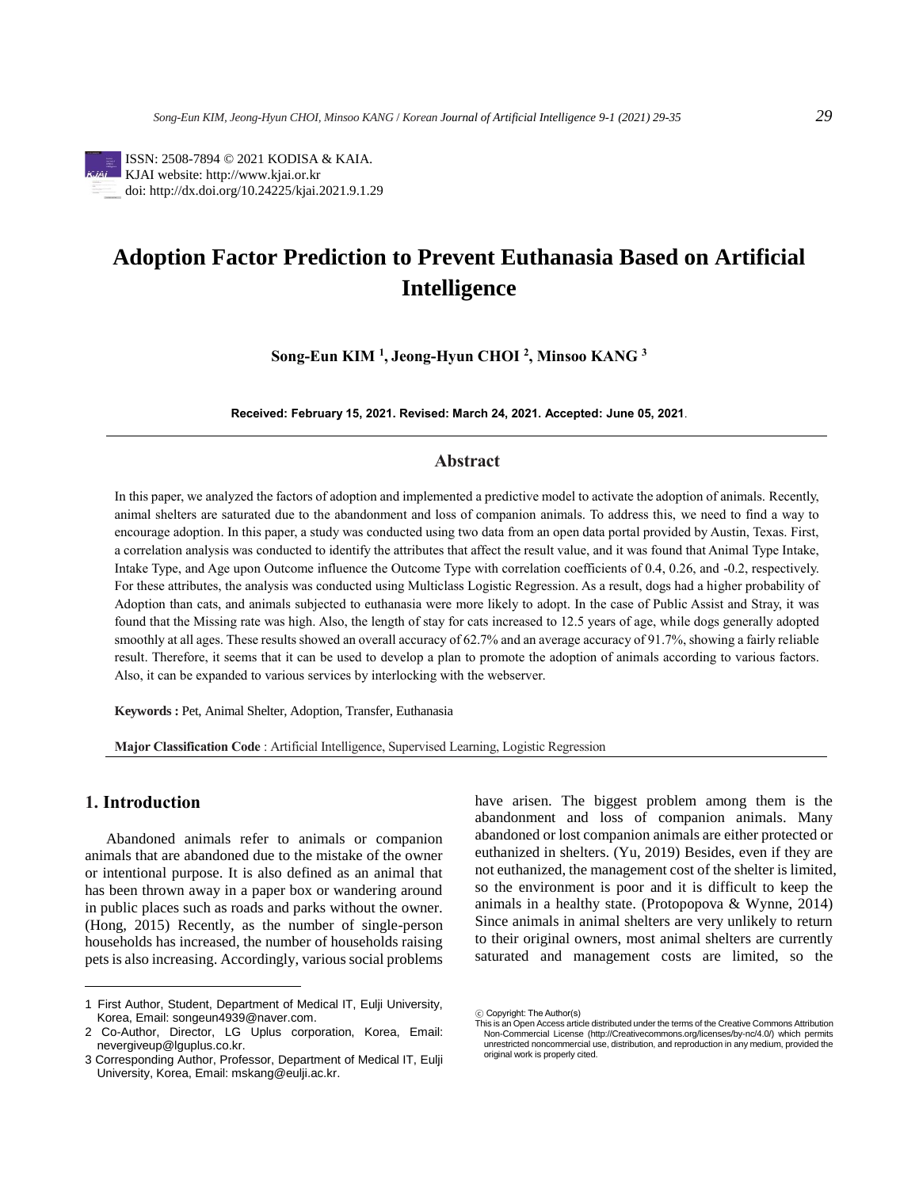

# **Adoption Factor Prediction to Prevent Euthanasia Based on Artificial Intelligence**

**Song-Eun KIM <sup>1</sup> , Jeong-Hyun CHOI <sup>2</sup> , Minsoo KANG <sup>3</sup>**

**Received: February 15, 2021. Revised: March 24, 2021. Accepted: June 05, 2021**.

# **Abstract**

In this paper, we analyzed the factors of adoption and implemented a predictive model to activate the adoption of animals. Recently, animal shelters are saturated due to the abandonment and loss of companion animals. To address this, we need to find a way to encourage adoption. In this paper, a study was conducted using two data from an open data portal provided by Austin, Texas. First, a correlation analysis was conducted to identify the attributes that affect the result value, and it was found that Animal Type Intake, Intake Type, and Age upon Outcome influence the Outcome Type with correlation coefficients of 0.4, 0.26, and -0.2, respectively. For these attributes, the analysis was conducted using Multiclass Logistic Regression. As a result, dogs had a higher probability of Adoption than cats, and animals subjected to euthanasia were more likely to adopt. In the case of Public Assist and Stray, it was found that the Missing rate was high. Also, the length of stay for cats increased to 12.5 years of age, while dogs generally adopted smoothly at all ages. These results showed an overall accuracy of 62.7% and an average accuracy of 91.7%, showing a fairly reliable result. Therefore, it seems that it can be used to develop a plan to promote the adoption of animals according to various factors. Also, it can be expanded to various services by interlocking with the webserver.

**Keywords :** Pet, Animal Shelter, Adoption, Transfer, Euthanasia

**Major Classification Code** : Artificial Intelligence, Supervised Learning, Logistic Regression

# **1. Introduction<sup>1</sup>**

Abandoned animals refer to animals or companion animals that are abandoned due to the mistake of the owner or intentional purpose. It is also defined as an animal that has been thrown away in a paper box or wandering around in public places such as roads and parks without the owner. (Hong, 2015) Recently, as the number of single-person households has increased, the number of households raising pets is also increasing. Accordingly, various social problems have arisen. The biggest problem among them is the abandonment and loss of companion animals. Many abandoned or lost companion animals are either protected or euthanized in shelters. (Yu, 2019) Besides, even if they are not euthanized, the management cost of the shelter is limited, so the environment is poor and it is difficult to keep the animals in a healthy state. (Protopopova & Wynne, 2014) Since animals in animal shelters are very unlikely to return to their original owners, most animal shelters are currently saturated and management costs are limited, so the

<sup>1</sup> First Author, Student, Department of Medical IT, Eulji University, Korea, Email: songeun4939@naver.com.

<sup>2</sup> Co-Author, Director, LG Uplus corporation, Korea, Email: nevergiveup@lguplus.co.kr.

<sup>3</sup> Corresponding Author, Professor, Department of Medical IT, Eulji University, Korea, Email: mskang@eulji.ac.kr.

<sup>ⓒ</sup> Copyright: The Author(s)

This is an Open Access article distributed under the terms of the Creative Commons Attribution Non-Commercial License (http://Creativecommons.org/licenses/by-nc/4.0/) which permits unrestricted noncommercial use, distribution, and reproduction in any medium, provided the original work is properly cited.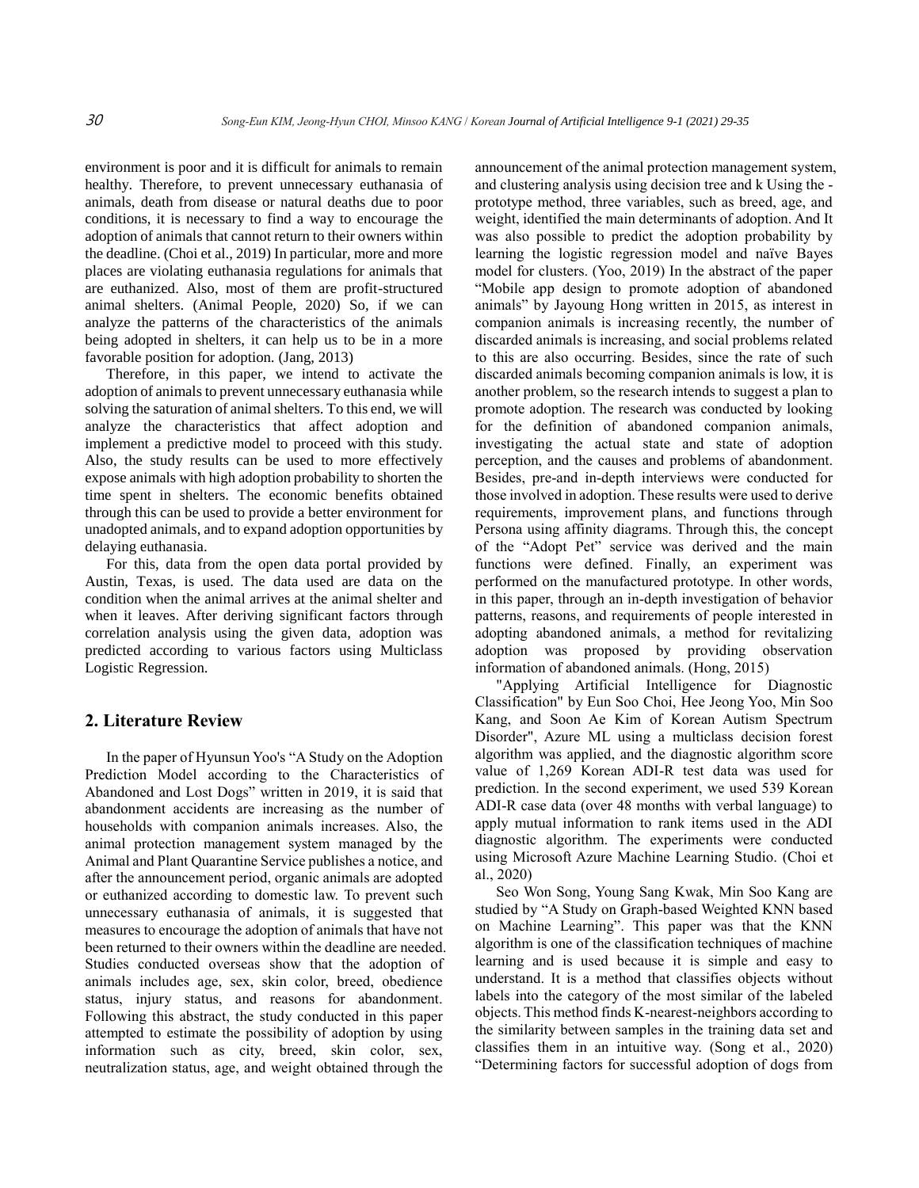environment is poor and it is difficult for animals to remain healthy. Therefore, to prevent unnecessary euthanasia of animals, death from disease or natural deaths due to poor conditions, it is necessary to find a way to encourage the adoption of animals that cannot return to their owners within the deadline. (Choi et al., 2019) In particular, more and more places are violating euthanasia regulations for animals that are euthanized. Also, most of them are profit-structured animal shelters. (Animal People, 2020) So, if we can analyze the patterns of the characteristics of the animals being adopted in shelters, it can help us to be in a more favorable position for adoption. (Jang, 2013)

Therefore, in this paper, we intend to activate the adoption of animals to prevent unnecessary euthanasia while solving the saturation of animal shelters. To this end, we will analyze the characteristics that affect adoption and implement a predictive model to proceed with this study. Also, the study results can be used to more effectively expose animals with high adoption probability to shorten the time spent in shelters. The economic benefits obtained through this can be used to provide a better environment for unadopted animals, and to expand adoption opportunities by delaying euthanasia.

For this, data from the open data portal provided by Austin, Texas, is used. The data used are data on the condition when the animal arrives at the animal shelter and when it leaves. After deriving significant factors through correlation analysis using the given data, adoption was predicted according to various factors using Multiclass Logistic Regression.

#### **2. Literature Review**

In the paper of Hyunsun Yoo's "A Study on the Adoption Prediction Model according to the Characteristics of Abandoned and Lost Dogs" written in 2019, it is said that abandonment accidents are increasing as the number of households with companion animals increases. Also, the animal protection management system managed by the Animal and Plant Quarantine Service publishes a notice, and after the announcement period, organic animals are adopted or euthanized according to domestic law. To prevent such unnecessary euthanasia of animals, it is suggested that measures to encourage the adoption of animals that have not been returned to their owners within the deadline are needed. Studies conducted overseas show that the adoption of animals includes age, sex, skin color, breed, obedience status, injury status, and reasons for abandonment. Following this abstract, the study conducted in this paper attempted to estimate the possibility of adoption by using information such as city, breed, skin color, sex, neutralization status, age, and weight obtained through the

announcement of the animal protection management system, and clustering analysis using decision tree and k Using the prototype method, three variables, such as breed, age, and weight, identified the main determinants of adoption. And It was also possible to predict the adoption probability by learning the logistic regression model and naïve Bayes model for clusters. (Yoo, 2019) In the abstract of the paper "Mobile app design to promote adoption of abandoned animals" by Jayoung Hong written in 2015, as interest in companion animals is increasing recently, the number of discarded animals is increasing, and social problems related to this are also occurring. Besides, since the rate of such discarded animals becoming companion animals is low, it is another problem, so the research intends to suggest a plan to promote adoption. The research was conducted by looking for the definition of abandoned companion animals, investigating the actual state and state of adoption perception, and the causes and problems of abandonment. Besides, pre-and in-depth interviews were conducted for those involved in adoption. These results were used to derive requirements, improvement plans, and functions through Persona using affinity diagrams. Through this, the concept of the "Adopt Pet" service was derived and the main functions were defined. Finally, an experiment was performed on the manufactured prototype. In other words, in this paper, through an in-depth investigation of behavior patterns, reasons, and requirements of people interested in adopting abandoned animals, a method for revitalizing adoption was proposed by providing observation information of abandoned animals. (Hong, 2015)

"Applying Artificial Intelligence for Diagnostic Classification" by Eun Soo Choi, Hee Jeong Yoo, Min Soo Kang, and Soon Ae Kim of Korean Autism Spectrum Disorder", Azure ML using a multiclass decision forest algorithm was applied, and the diagnostic algorithm score value of 1,269 Korean ADI-R test data was used for prediction. In the second experiment, we used 539 Korean ADI-R case data (over 48 months with verbal language) to apply mutual information to rank items used in the ADI diagnostic algorithm. The experiments were conducted using Microsoft Azure Machine Learning Studio. (Choi et al., 2020)

Seo Won Song, Young Sang Kwak, Min Soo Kang are studied by "A Study on Graph-based Weighted KNN based on Machine Learning". This paper was that the KNN algorithm is one of the classification techniques of machine learning and is used because it is simple and easy to understand. It is a method that classifies objects without labels into the category of the most similar of the labeled objects. This method finds K-nearest-neighbors according to the similarity between samples in the training data set and classifies them in an intuitive way. (Song et al., 2020) "Determining factors for successful adoption of dogs from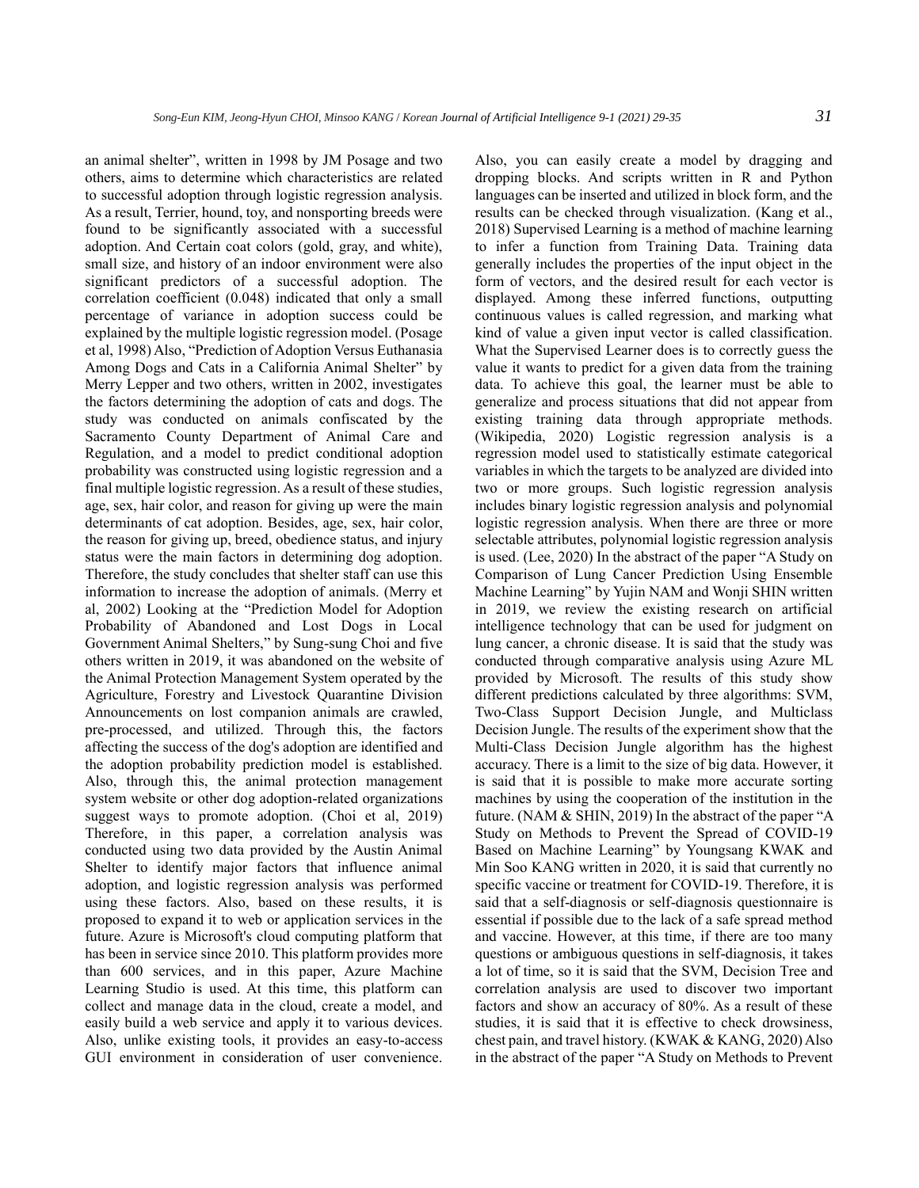an animal shelter", written in 1998 by JM Posage and two others, aims to determine which characteristics are related to successful adoption through logistic regression analysis. As a result, Terrier, hound, toy, and nonsporting breeds were found to be significantly associated with a successful adoption. And Certain coat colors (gold, gray, and white), small size, and history of an indoor environment were also significant predictors of a successful adoption. The correlation coefficient (0.048) indicated that only a small percentage of variance in adoption success could be explained by the multiple logistic regression model. (Posage et al, 1998) Also, "Prediction of Adoption Versus Euthanasia Among Dogs and Cats in a California Animal Shelter" by Merry Lepper and two others, written in 2002, investigates the factors determining the adoption of cats and dogs. The study was conducted on animals confiscated by the Sacramento County Department of Animal Care and Regulation, and a model to predict conditional adoption probability was constructed using logistic regression and a final multiple logistic regression. As a result of these studies, age, sex, hair color, and reason for giving up were the main determinants of cat adoption. Besides, age, sex, hair color, the reason for giving up, breed, obedience status, and injury status were the main factors in determining dog adoption. Therefore, the study concludes that shelter staff can use this information to increase the adoption of animals. (Merry et al, 2002) Looking at the "Prediction Model for Adoption Probability of Abandoned and Lost Dogs in Local Government Animal Shelters," by Sung-sung Choi and five others written in 2019, it was abandoned on the website of the Animal Protection Management System operated by the Agriculture, Forestry and Livestock Quarantine Division Announcements on lost companion animals are crawled, pre-processed, and utilized. Through this, the factors affecting the success of the dog's adoption are identified and the adoption probability prediction model is established. Also, through this, the animal protection management system website or other dog adoption-related organizations suggest ways to promote adoption. (Choi et al, 2019) Therefore, in this paper, a correlation analysis was conducted using two data provided by the Austin Animal Shelter to identify major factors that influence animal adoption, and logistic regression analysis was performed using these factors. Also, based on these results, it is proposed to expand it to web or application services in the future. Azure is Microsoft's cloud computing platform that has been in service since 2010. This platform provides more than 600 services, and in this paper, Azure Machine Learning Studio is used. At this time, this platform can collect and manage data in the cloud, create a model, and easily build a web service and apply it to various devices. Also, unlike existing tools, it provides an easy-to-access GUI environment in consideration of user convenience.

Also, you can easily create a model by dragging and dropping blocks. And scripts written in R and Python languages can be inserted and utilized in block form, and the results can be checked through visualization. (Kang et al., 2018) Supervised Learning is a method of machine learning to infer a function from Training Data. Training data generally includes the properties of the input object in the form of vectors, and the desired result for each vector is displayed. Among these inferred functions, outputting continuous values is called regression, and marking what kind of value a given input vector is called classification. What the Supervised Learner does is to correctly guess the value it wants to predict for a given data from the training data. To achieve this goal, the learner must be able to generalize and process situations that did not appear from existing training data through appropriate methods. (Wikipedia, 2020) Logistic regression analysis is a regression model used to statistically estimate categorical variables in which the targets to be analyzed are divided into two or more groups. Such logistic regression analysis includes binary logistic regression analysis and polynomial logistic regression analysis. When there are three or more selectable attributes, polynomial logistic regression analysis is used. (Lee, 2020) In the abstract of the paper "A Study on Comparison of Lung Cancer Prediction Using Ensemble Machine Learning" by Yujin NAM and Wonji SHIN written in 2019, we review the existing research on artificial intelligence technology that can be used for judgment on lung cancer, a chronic disease. It is said that the study was conducted through comparative analysis using Azure ML provided by Microsoft. The results of this study show different predictions calculated by three algorithms: SVM, Two-Class Support Decision Jungle, and Multiclass Decision Jungle. The results of the experiment show that the Multi-Class Decision Jungle algorithm has the highest accuracy. There is a limit to the size of big data. However, it is said that it is possible to make more accurate sorting machines by using the cooperation of the institution in the future. (NAM & SHIN, 2019) In the abstract of the paper "A Study on Methods to Prevent the Spread of COVID-19 Based on Machine Learning" by Youngsang KWAK and Min Soo KANG written in 2020, it is said that currently no specific vaccine or treatment for COVID-19. Therefore, it is said that a self-diagnosis or self-diagnosis questionnaire is essential if possible due to the lack of a safe spread method and vaccine. However, at this time, if there are too many questions or ambiguous questions in self-diagnosis, it takes a lot of time, so it is said that the SVM, Decision Tree and correlation analysis are used to discover two important factors and show an accuracy of 80%. As a result of these studies, it is said that it is effective to check drowsiness, chest pain, and travel history. (KWAK & KANG, 2020) Also in the abstract of the paper "A Study on Methods to Prevent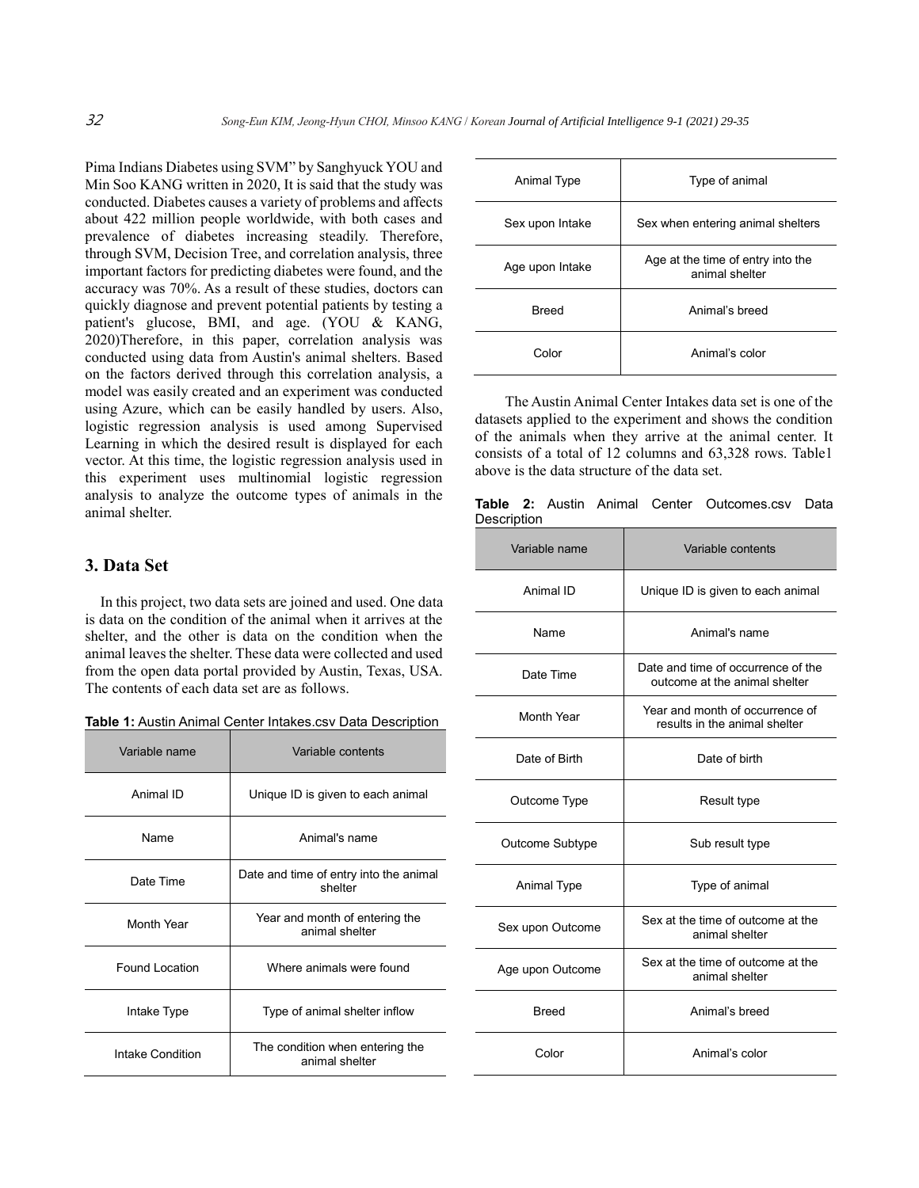Pima Indians Diabetes using SVM" by Sanghyuck YOU and Min Soo KANG written in 2020, It is said that the study was conducted. Diabetes causes a variety of problems and affects about 422 million people worldwide, with both cases and prevalence of diabetes increasing steadily. Therefore, through SVM, Decision Tree, and correlation analysis, three important factors for predicting diabetes were found, and the accuracy was 70%. As a result of these studies, doctors can quickly diagnose and prevent potential patients by testing a patient's glucose, BMI, and age. (YOU & KANG, 2020)Therefore, in this paper, correlation analysis was conducted using data from Austin's animal shelters. Based on the factors derived through this correlation analysis, a model was easily created and an experiment was conducted using Azure, which can be easily handled by users. Also, logistic regression analysis is used among Supervised Learning in which the desired result is displayed for each vector. At this time, the logistic regression analysis used in this experiment uses multinomial logistic regression analysis to analyze the outcome types of animals in the animal shelter.

### **3. Data Set**

In this project, two data sets are joined and used. One data is data on the condition of the animal when it arrives at the shelter, and the other is data on the condition when the animal leaves the shelter. These data were collected and used from the open data portal provided by Austin, Texas, USA. The contents of each data set are as follows.

| Variable name    | Variable contents                                 |
|------------------|---------------------------------------------------|
| Animal ID        | Unique ID is given to each animal                 |
| Name             | Animal's name                                     |
| Date Time        | Date and time of entry into the animal<br>shelter |
| Month Year       | Year and month of entering the<br>animal shelter  |
| Found Location   | Where animals were found                          |
| Intake Type      | Type of animal shelter inflow                     |
| Intake Condition | The condition when entering the<br>animal shelter |

| Animal Type     | Type of animal                                      |
|-----------------|-----------------------------------------------------|
| Sex upon Intake | Sex when entering animal shelters                   |
| Age upon Intake | Age at the time of entry into the<br>animal shelter |
| <b>Breed</b>    | Animal's breed                                      |
| Color           | Animal's color                                      |

The Austin Animal Center Intakes data set is one of the datasets applied to the experiment and shows the condition of the animals when they arrive at the animal center. It consists of a total of 12 columns and 63,328 rows. Table1 above is the data structure of the data set.

**Table 2:** Austin Animal Center Outcomes.csv Data **Description** 

| Variable name      | Variable contents                                                   |
|--------------------|---------------------------------------------------------------------|
| Animal ID          | Unique ID is given to each animal                                   |
| Name               | Animal's name                                                       |
| Date Time          | Date and time of occurrence of the<br>outcome at the animal shelter |
| Month Year         | Year and month of occurrence of<br>results in the animal shelter    |
| Date of Birth      | Date of birth                                                       |
| Outcome Type       | Result type                                                         |
| Outcome Subtype    | Sub result type                                                     |
| <b>Animal Type</b> | Type of animal                                                      |
| Sex upon Outcome   | Sex at the time of outcome at the<br>animal shelter                 |
| Age upon Outcome   | Sex at the time of outcome at the<br>animal shelter                 |
| Breed              | Animal's breed                                                      |
| Color              | Animal's color                                                      |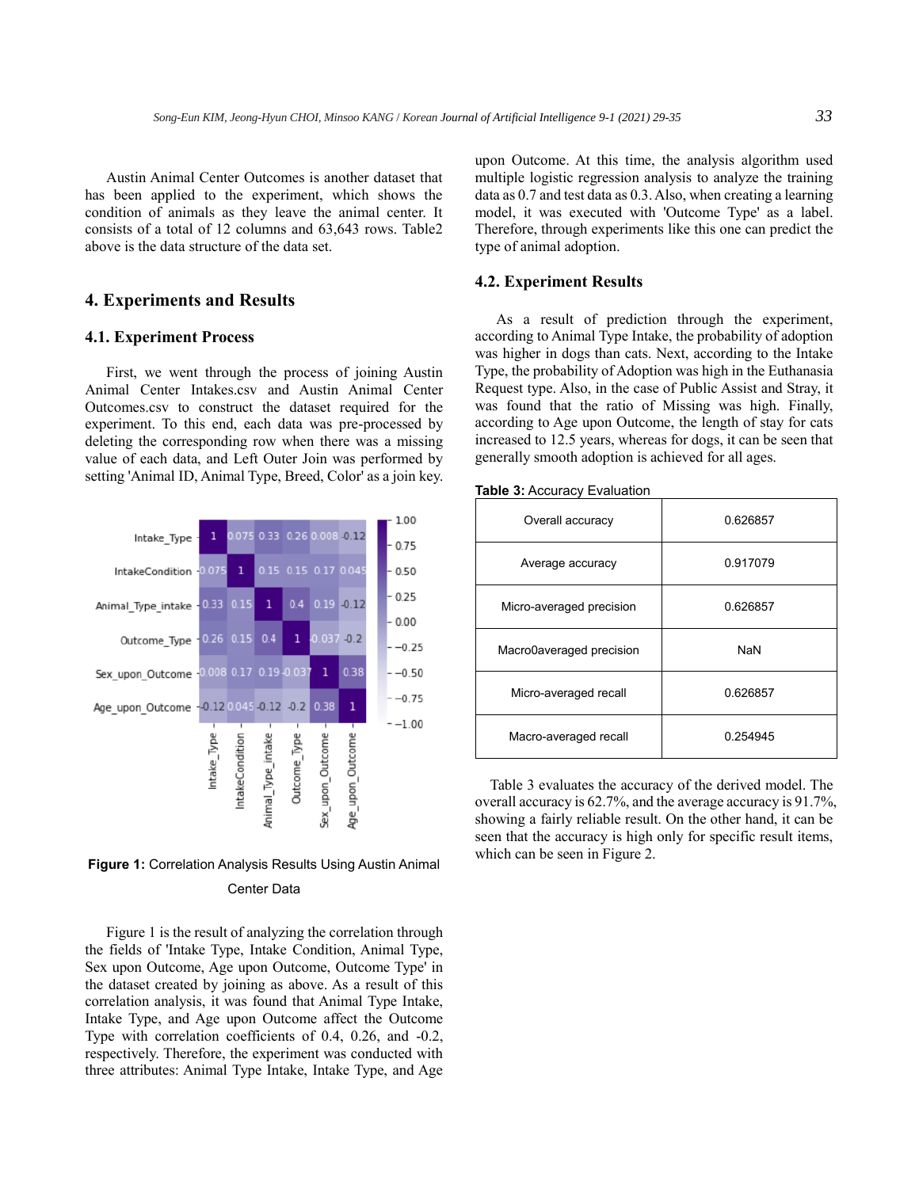Austin Animal Center Outcomes is another dataset that has been applied to the experiment, which shows the condition of animals as they leave the animal center. It consists of a total of 12 columns and 63,643 rows. Table2 above is the data structure of the data set.

#### **4. Experiments and Results**

#### **4.1. Experiment Process**

First, we went through the process of joining Austin Animal Center Intakes.csv and Austin Animal Center Outcomes.csv to construct the dataset required for the experiment. To this end, each data was pre-processed by deleting the corresponding row when there was a missing value of each data, and Left Outer Join was performed by setting 'Animal ID, Animal Type, Breed, Color' as a join key.



**Figure 1:** Correlation Analysis Results Using Austin Animal Center Data

Figure 1 is the result of analyzing the correlation through the fields of 'Intake Type, Intake Condition, Animal Type, Sex upon Outcome, Age upon Outcome, Outcome Type' in the dataset created by joining as above. As a result of this correlation analysis, it was found that Animal Type Intake, Intake Type, and Age upon Outcome affect the Outcome Type with correlation coefficients of 0.4, 0.26, and -0.2, respectively. Therefore, the experiment was conducted with three attributes: Animal Type Intake, Intake Type, and Age upon Outcome. At this time, the analysis algorithm used multiple logistic regression analysis to analyze the training data as 0.7 and test data as 0.3. Also, when creating a learning model, it was executed with 'Outcome Type' as a label. Therefore, through experiments like this one can predict the type of animal adoption.

#### **4.2. Experiment Results**

As a result of prediction through the experiment, according to Animal Type Intake, the probability of adoption was higher in dogs than cats. Next, according to the Intake Type, the probability of Adoption was high in the Euthanasia Request type. Also, in the case of Public Assist and Stray, it was found that the ratio of Missing was high. Finally, according to Age upon Outcome, the length of stay for cats increased to 12.5 years, whereas for dogs, it can be seen that generally smooth adoption is achieved for all ages.

| <b>Table 3: Accuracy Evaluation</b> |  |
|-------------------------------------|--|
|-------------------------------------|--|

| Overall accuracy         | 0.626857 |
|--------------------------|----------|
| Average accuracy         | 0.917079 |
| Micro-averaged precision | 0.626857 |
| Macro0averaged precision | NaN      |
| Micro-averaged recall    | 0.626857 |
| Macro-averaged recall    | 0.254945 |

Table 3 evaluates the accuracy of the derived model. The overall accuracy is 62.7%, and the average accuracy is 91.7%, showing a fairly reliable result. On the other hand, it can be seen that the accuracy is high only for specific result items, which can be seen in Figure 2.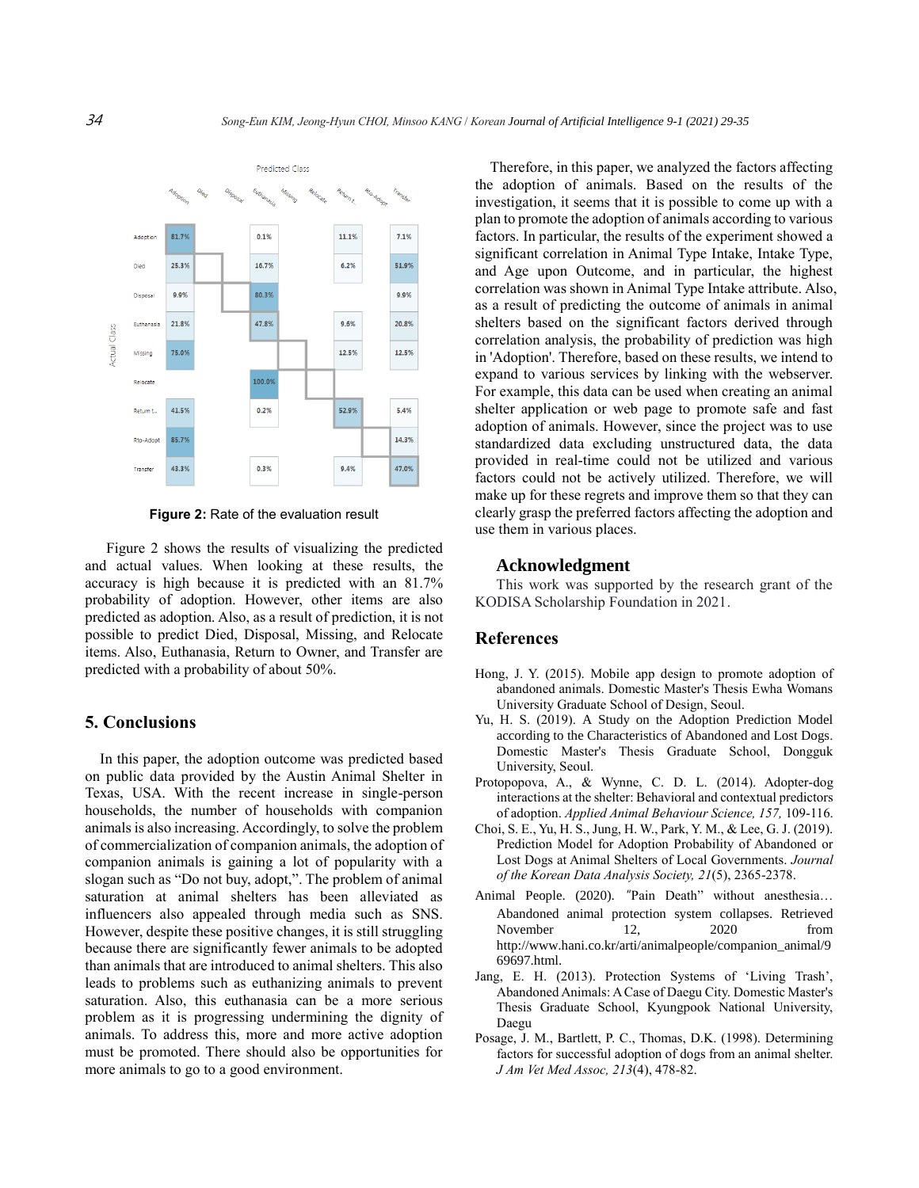

**Figure 2:** Rate of the evaluation result

Figure 2 shows the results of visualizing the predicted and actual values. When looking at these results, the accuracy is high because it is predicted with an 81.7% probability of adoption. However, other items are also predicted as adoption. Also, as a result of prediction, it is not possible to predict Died, Disposal, Missing, and Relocate items. Also, Euthanasia, Return to Owner, and Transfer are predicted with a probability of about 50%.

#### **5. Conclusions**

In this paper, the adoption outcome was predicted based on public data provided by the Austin Animal Shelter in Texas, USA. With the recent increase in single-person households, the number of households with companion animals is also increasing. Accordingly, to solve the problem of commercialization of companion animals, the adoption of companion animals is gaining a lot of popularity with a slogan such as "Do not buy, adopt,". The problem of animal saturation at animal shelters has been alleviated as influencers also appealed through media such as SNS. However, despite these positive changes, it is still struggling because there are significantly fewer animals to be adopted than animals that are introduced to animal shelters. This also leads to problems such as euthanizing animals to prevent saturation. Also, this euthanasia can be a more serious problem as it is progressing undermining the dignity of animals. To address this, more and more active adoption must be promoted. There should also be opportunities for more animals to go to a good environment.

Therefore, in this paper, we analyzed the factors affecting the adoption of animals. Based on the results of the investigation, it seems that it is possible to come up with a plan to promote the adoption of animals according to various factors. In particular, the results of the experiment showed a significant correlation in Animal Type Intake, Intake Type, and Age upon Outcome, and in particular, the highest correlation was shown in Animal Type Intake attribute. Also, as a result of predicting the outcome of animals in animal shelters based on the significant factors derived through correlation analysis, the probability of prediction was high in 'Adoption'. Therefore, based on these results, we intend to expand to various services by linking with the webserver. For example, this data can be used when creating an animal shelter application or web page to promote safe and fast adoption of animals. However, since the project was to use standardized data excluding unstructured data, the data provided in real-time could not be utilized and various factors could not be actively utilized. Therefore, we will make up for these regrets and improve them so that they can clearly grasp the preferred factors affecting the adoption and use them in various places.

#### **Acknowledgment**

This work was supported by the research grant of the KODISA Scholarship Foundation in 2021.

#### **References**

- Hong, J. Y. (2015). Mobile app design to promote adoption of abandoned animals. Domestic Master's Thesis Ewha Womans University Graduate School of Design, Seoul.
- Yu, H. S. (2019). A Study on the Adoption Prediction Model according to the Characteristics of Abandoned and Lost Dogs. Domestic Master's Thesis Graduate School, Dongguk University, Seoul.
- Protopopova, A., & Wynne, C. D. L. (2014). Adopter-dog interactions at the shelter: Behavioral and contextual predictors of adoption. *Applied Animal Behaviour Science, 157,* 109-116.
- Choi, S. E., Yu, H. S., Jung, H. W., Park, Y. M., & Lee, G. J. (2019). Prediction Model for Adoption Probability of Abandoned or Lost Dogs at Animal Shelters of Local Governments. *Journal of the Korean Data Analysis Society, 21*(5), 2365-2378.
- Animal People. (2020). "Pain Death" without anesthesia… Abandoned animal protection system collapses. Retrieved November 12, 2020 from http://www.hani.co.kr/arti/animalpeople/companion\_animal/9 69697.html.
- Jang, E. H. (2013). Protection Systems of 'Living Trash', Abandoned Animals: A Case of Daegu City. Domestic Master's Thesis Graduate School, Kyungpook National University, Daegu
- Posage, J. M., Bartlett, P. C., Thomas, D.K. (1998). Determining factors for successful adoption of dogs from an animal shelter. *J Am Vet Med Assoc, 213*(4), 478-82.